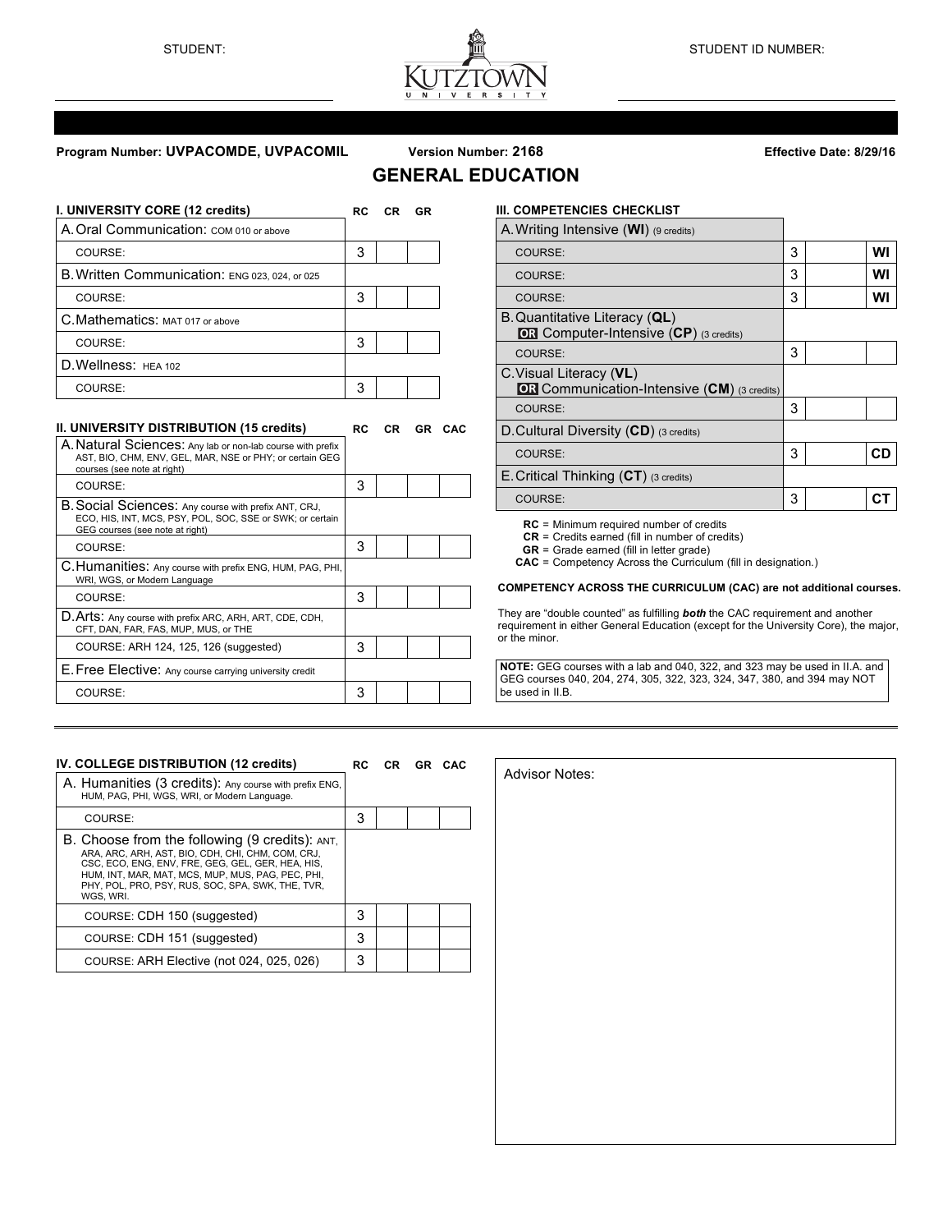

# **Program Number: UVPACOMDE, UVPACOMIL Version Number: 2168 Effective Date: 8/29/16**

# **GENERAL EDUCATION**

| I. UNIVERSITY CORE (12 credits)                | RC. | CR | GR |
|------------------------------------------------|-----|----|----|
| A. Oral Communication: COM 010 or above        |     |    |    |
| COURSE:                                        | 3   |    |    |
| B. Written Communication: ENG 023, 024, or 025 |     |    |    |
| COURSE:                                        | 3   |    |    |
| C. Mathematics: MAT 017 or above               |     |    |    |
| COURSE:                                        | 3   |    |    |
| D. Wellness: HEA 102                           |     |    |    |
| COURSE:                                        | 3   |    |    |

# **II. UNIVERSITY DISTRIBUTION (15 credits) RC CR GR CAC**

| 3 |  |  |
|---|--|--|
|   |  |  |
| 3 |  |  |
|   |  |  |
| 3 |  |  |
|   |  |  |
| 3 |  |  |
|   |  |  |
| 3 |  |  |
|   |  |  |

# **III. COMPETENCIES CHECKLIST**

| A. Writing Intensive (WI) (9 credits)                                         |   |    |
|-------------------------------------------------------------------------------|---|----|
| COURSE:                                                                       | 3 | WI |
| COURSE:                                                                       | 3 | WI |
| COURSE:                                                                       | 3 | wı |
| B. Quantitative Literacy (QL)<br>OR Computer-Intensive (CP) (3 credits)       |   |    |
| COURSE:                                                                       | 3 |    |
| C. Visual Literacy (VL)<br><b>OR</b> Communication-Intensive (CM) (3 credits) |   |    |
| COURSE:                                                                       | 3 |    |
| D. Cultural Diversity $(CD)$ (3 credits)                                      |   |    |
| COURSE:                                                                       | 3 | CD |
| E. Critical Thinking $(CT)$ (3 credits)                                       |   |    |
| COURSE:                                                                       | 3 |    |

**RC** = Minimum required number of credits

**CR** = Credits earned (fill in number of credits)

**GR** = Grade earned (fill in letter grade)

Advisor Notes:

**CAC** = Competency Across the Curriculum (fill in designation.)

### **COMPETENCY ACROSS THE CURRICULUM (CAC) are not additional courses.**

They are "double counted" as fulfilling *both* the CAC requirement and another requirement in either General Education (except for the University Core), the major, or the minor.

**NOTE:** GEG courses with a lab and 040, 322, and 323 may be used in II.A. and GEG courses 040, 204, 274, 305, 322, 323, 324, 347, 380, and 394 may NOT be used in II.B.

# **IV. COLLEGE DISTRIBUTION (12 credits) RC CR GR CAC** A. Humanities (3 credits): Any course with prefix ENG, HUM, PAG, PHI, WGS, WRI, or Modern Language. COURSE: 3 B. Choose from the following (9 credits): ANT,<br>ARA, ARC, ARH, AST, BIO, CDH, CHI, CHM, COM, CRJ,<br>CSC, ECO, ENG, ENV, FRE, GEG, GEL, GER, HEA, HIS, HUM, INT, MAR, MAT, MCS, MUP, MUS, PAG, PEC, PHI, PHY, POL, PRO, PSY, RUS, SOC, SPA, SWK, THE, TVR, WGS, WRI. COURSE: CDH 150 (suggested) 3 COURSE: CDH 151 (suggested) 3 COURSE: ARH Elective (not 024, 025, 026) 3